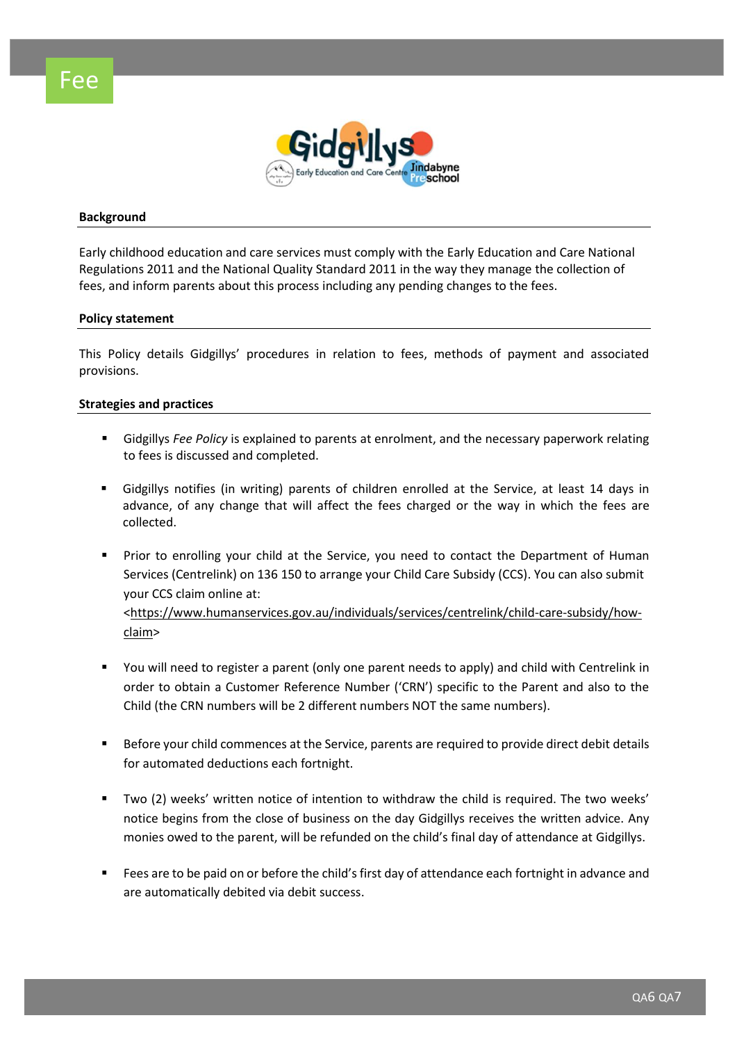



#### **Background**

Early childhood education and care services must comply with the Early Education and Care National Regulations 2011 and the National Quality Standard 2011 in the way they manage the collection of fees, and inform parents about this process including any pending changes to the fees.

#### **Policy statement**

This Policy details Gidgillys' procedures in relation to fees, methods of payment and associated provisions.

#### **Strategies and practices**

- Gidgillys *Fee Policy* is explained to parents at enrolment, and the necessary paperwork relating to fees is discussed and completed.
- Gidgillys notifies (in writing) parents of children enrolled at the Service, at least 14 days in advance, of any change that will affect the fees charged or the way in which the fees are collected.
- Prior to enrolling your child at the Service, you need to contact the Department of Human Services (Centrelink) on 136 150 to arrange your Child Care Subsidy (CCS). You can also submit your CCS claim online at: [<https://www.humanservices.gov.au/individuals/services/centrelink/child-care-subsidy/how](https://www.humanservices.gov.au/individuals/services/centrelink/child-care-subsidy/how-claim)[claim>](https://www.humanservices.gov.au/individuals/services/centrelink/child-care-subsidy/how-claim)
- You will need to register a parent (only one parent needs to apply) and child with Centrelink in order to obtain a Customer Reference Number ('CRN') specific to the Parent and also to the Child (the CRN numbers will be 2 different numbers NOT the same numbers).
- Before your child commences at the Service, parents are required to provide direct debit details for automated deductions each fortnight.
- Two (2) weeks' written notice of intention to withdraw the child is required. The two weeks' notice begins from the close of business on the day Gidgillys receives the written advice. Any monies owed to the parent, will be refunded on the child's final day of attendance at Gidgillys.
- Fees are to be paid on or before the child's first day of attendance each fortnight in advance and are automatically debited via debit success.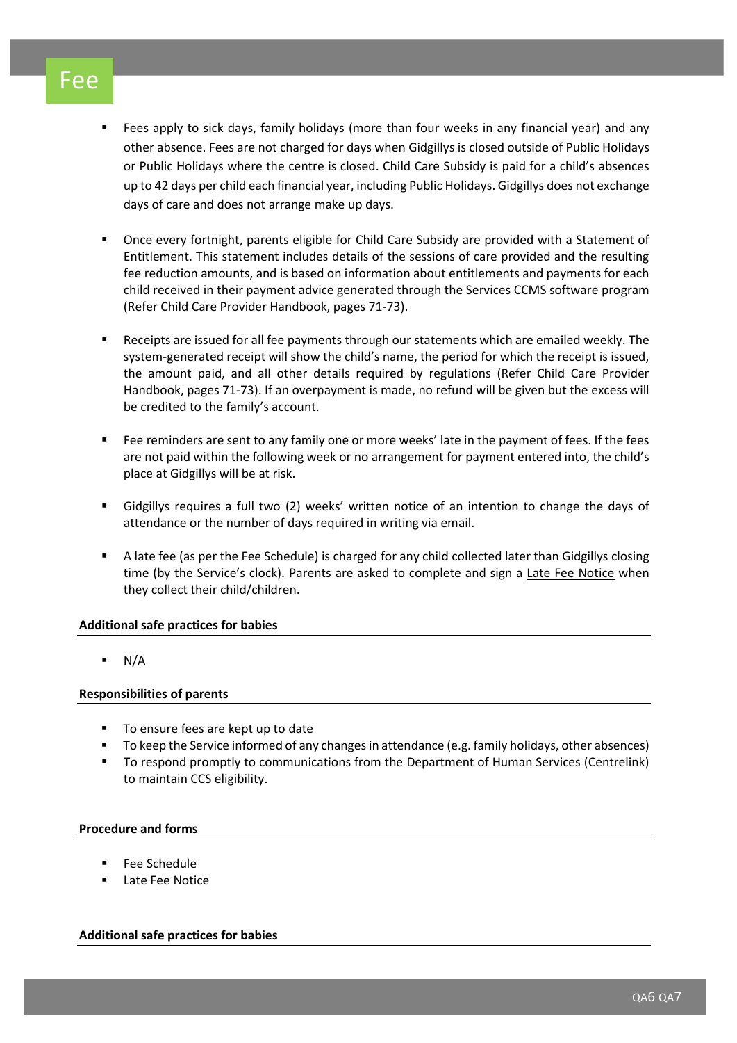# Fee

- Fees apply to sick days, family holidays (more than four weeks in any financial year) and any other absence. Fees are not charged for days when Gidgillys is closed outside of Public Holidays or Public Holidays where the centre is closed. Child Care Subsidy is paid for a child's absences up to 42 days per child each financial year, including Public Holidays. Gidgillys does not exchange days of care and does not arrange make up days.
- Once every fortnight, parents eligible for Child Care Subsidy are provided with a Statement of Entitlement. This statement includes details of the sessions of care provided and the resulting fee reduction amounts, and is based on information about entitlements and payments for each child received in their payment advice generated through the Services CCMS software program (Refer Child Care Provider Handbook, pages 71-73).
- Receipts are issued for all fee payments through our statements which are emailed weekly. The system-generated receipt will show the child's name, the period for which the receipt is issued, the amount paid, and all other details required by regulations (Refer Child Care Provider Handbook, pages 71-73). If an overpayment is made, no refund will be given but the excess will be credited to the family's account.
- Fee reminders are sent to any family one or more weeks' late in the payment of fees. If the fees are not paid within the following week or no arrangement for payment entered into, the child's place at Gidgillys will be at risk.
- Gidgillys requires a full two (2) weeks' written notice of an intention to change the days of attendance or the number of days required in writing via email.
- A late fee (as per the Fee Schedule) is charged for any child collected later than Gidgillys closing time (by the Service's clock). Parents are asked to complete and sign a Late Fee Notice when they collect their child/children.

# **Additional safe practices for babies**

 $\blacksquare$  N/A

# **Responsibilities of parents**

- To ensure fees are kept up to date
- To keep the Service informed of any changes in attendance (e.g. family holidays, other absences)
- To respond promptly to communications from the Department of Human Services (Centrelink) to maintain CCS eligibility.

# **Procedure and forms**

- Fee Schedule
- Late Fee Notice

# **Additional safe practices for babies**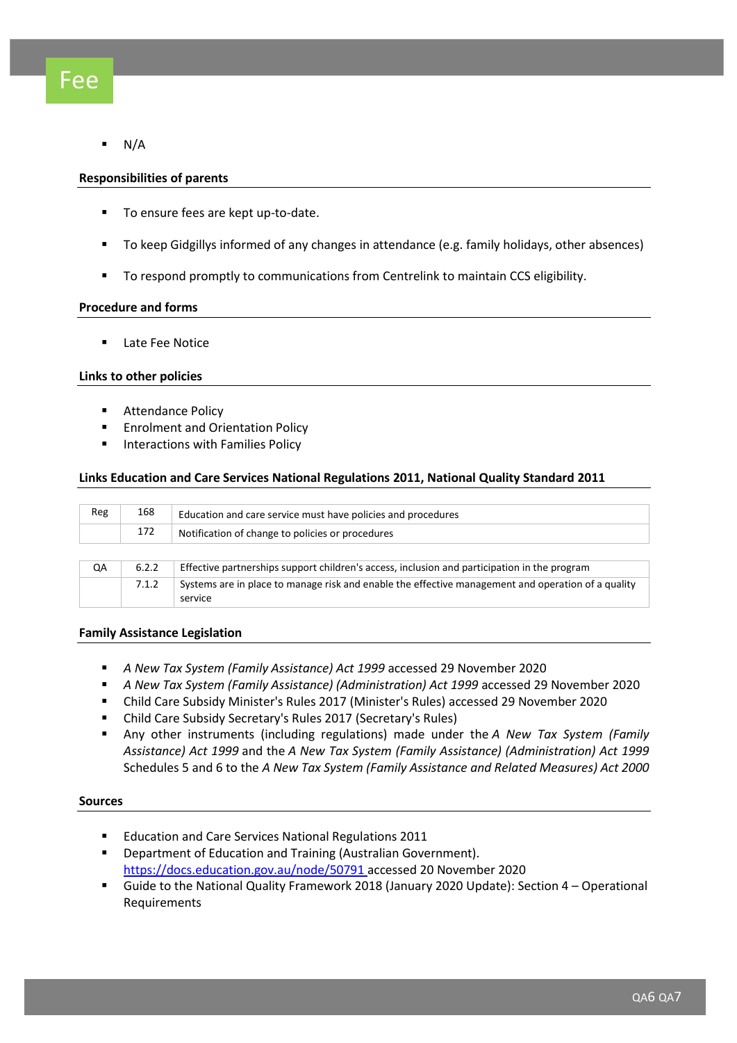$N/A$ 

## **Responsibilities of parents**

- To ensure fees are kept up-to-date.
- To keep Gidgillys informed of any changes in attendance (e.g. family holidays, other absences)
- To respond promptly to communications from Centrelink to maintain CCS eligibility.

## **Procedure and forms**

■ Late Fee Notice

### **Links to other policies**

- **Attendance Policy**
- Enrolment and Orientation Policy
- Interactions with Families Policy

### **Links Education and Care Services National Regulations 2011, National Quality Standard 2011**

| Reg | 168   | Education and care service must have policies and procedures                                                  |  |  |  |
|-----|-------|---------------------------------------------------------------------------------------------------------------|--|--|--|
|     | 172   | Notification of change to policies or procedures                                                              |  |  |  |
|     |       |                                                                                                               |  |  |  |
| QA  | 6.2.2 | Effective partnerships support children's access, inclusion and participation in the program                  |  |  |  |
|     | 7.1.2 | Systems are in place to manage risk and enable the effective management and operation of a quality<br>service |  |  |  |

### **Family Assistance Legislation**

- *[A New Tax System \(Family Assistance\) Act 1999](https://www.legislation.gov.au/Series/C2004A00490)* accessed 29 November 2020
- *[A New Tax System \(Family Assistance\) \(Administration\) Act 1999](https://www.legislation.gov.au/Series/C2004A00491)* accessed 29 November 2020
- [Child Care Subsidy Minister's Rules 2017](https://www.legislation.gov.au/Details/F2019C00168) (Minister's Rules) accessed 29 November 2020
- [Child Care Subsidy Secretary's Rules 2017](http://www.legislation.gov.au/Details/F2018C00473) (Secretary's Rules)
- Any other instruments (including regulations) made under the *[A New Tax System \(Family](https://www.legislation.gov.au/Series/C2004A00490)  [Assistance\) Act 1999](https://www.legislation.gov.au/Series/C2004A00490)* and the *[A New Tax System \(Family Assistance\) \(Administration\) Act 1999](https://www.legislation.gov.au/Series/C2004A00491)* Schedules 5 and 6 to the *[A New Tax System \(Family Assistance and Related Measures\) Act 2000](https://www.legislation.gov.au/Details/C2004C01310)*

### **Sources**

- **Education and Care Services National Regulations 2011**
- Department of Education and Training (Australian Government). <https://docs.education.gov.au/node/50791> accessed 20 November 2020
- Guide to the National Quality Framework 2018 (January 2020 Update): Section 4 Operational Requirements